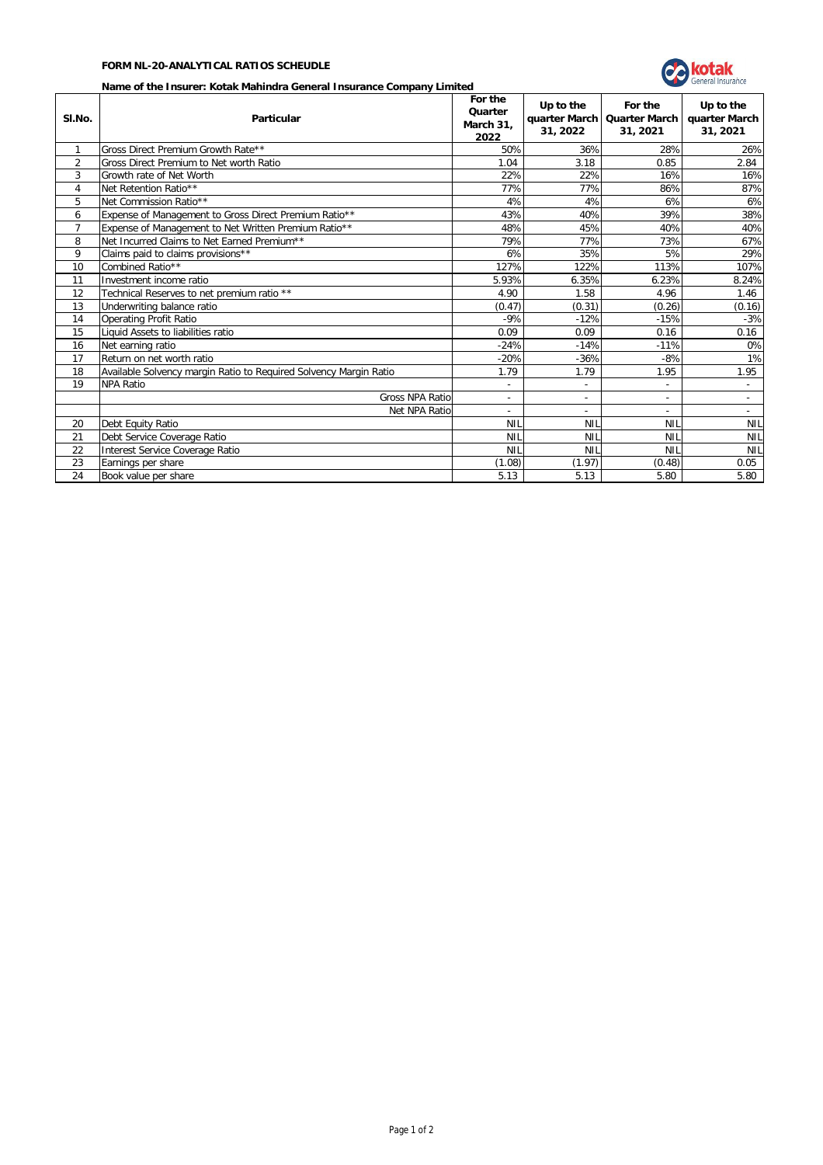## **FORM NL-20-ANALYTICAL RATIOS SCHEUDLE**



## **Name of the Insurer: Kotak Mahindra General Insurance Company Limited**

| SI.No.         | ivanic of the filsuler. RotaR Mahmura Ocheral Hisurance Company Emilted<br>Particular |            | Up to the<br>31, 2022    | For the<br>quarter March   Quarter March<br>31, 2021 | Up to the<br>quarter March<br>31, 2021 |  |
|----------------|---------------------------------------------------------------------------------------|------------|--------------------------|------------------------------------------------------|----------------------------------------|--|
| 1              | Gross Direct Premium Growth Rate**                                                    | 50%        | 36%                      | 28%                                                  | 26%                                    |  |
| $\overline{2}$ | Gross Direct Premium to Net worth Ratio                                               | 1.04       | 3.18                     | 0.85                                                 | 2.84                                   |  |
| 3              | Growth rate of Net Worth                                                              | 22%        | 22%                      | 16%                                                  | 16%                                    |  |
| 4              | Net Retention Ratio**                                                                 | 77%        | 77%                      | 86%                                                  | 87%                                    |  |
| 5              | Net Commission Ratio**                                                                | 4%         | 4%                       | 6%                                                   | 6%                                     |  |
| 6              | Expense of Management to Gross Direct Premium Ratio**                                 | 43%        | 40%                      | 39%                                                  | 38%                                    |  |
| $\overline{7}$ | Expense of Management to Net Written Premium Ratio**                                  | 48%        | 45%                      | 40%                                                  | 40%                                    |  |
| 8              | Net Incurred Claims to Net Earned Premium**                                           | 79%        | 77%                      | 73%                                                  | 67%                                    |  |
| 9              | Claims paid to claims provisions**                                                    | 6%         | 35%                      | 5%                                                   | 29%                                    |  |
| 10             | Combined Ratio**                                                                      | 127%       | 122%                     | 113%                                                 | 107%                                   |  |
| 11             | Investment income ratio                                                               | 5.93%      | 6.35%                    | 6.23%                                                | 8.24%                                  |  |
| 12             | Technical Reserves to net premium ratio **                                            | 4.90       | 1.58                     | 4.96                                                 | 1.46                                   |  |
| 13             | Underwriting balance ratio                                                            | (0.47)     | (0.31)                   | (0.26)                                               | (0.16)                                 |  |
| 14             | Operating Profit Ratio                                                                | $-9%$      | $-12%$                   | $-15%$                                               | $-3%$                                  |  |
| 15             | Liquid Assets to liabilities ratio                                                    | 0.09       | 0.09                     | 0.16                                                 | 0.16                                   |  |
| 16             | Net earning ratio                                                                     | $-24%$     | $-14%$                   | $-11%$                                               | 0%                                     |  |
| 17             | Return on net worth ratio                                                             | $-20%$     | $-36%$                   | $-8%$                                                | 1%                                     |  |
| 18             | Available Solvency margin Ratio to Required Solvency Margin Ratio                     | 1.79       | 1.79                     | 1.95                                                 | 1.95                                   |  |
| 19             | <b>NPA Ratio</b>                                                                      | $\sim$     | $\sim$                   | $\overline{\phantom{a}}$                             | $\sim$                                 |  |
|                | Gross NPA Ratio                                                                       | $\sim$     | ٠                        | $\overline{\phantom{a}}$                             | $\sim$                                 |  |
|                | Net NPA Ratio                                                                         | $\sim$     | $\overline{\phantom{a}}$ | $\sim$                                               | $\sim$                                 |  |
| 20             | Debt Equity Ratio                                                                     | <b>NIL</b> | <b>NIL</b>               | <b>NIL</b>                                           | <b>NIL</b>                             |  |
| 21             | Debt Service Coverage Ratio                                                           | <b>NIL</b> | <b>NIL</b>               | <b>NIL</b>                                           | <b>NIL</b>                             |  |
| 22             | Interest Service Coverage Ratio                                                       | <b>NIL</b> | <b>NIL</b>               | <b>NIL</b>                                           | <b>NIL</b>                             |  |
| 23             | Earnings per share                                                                    | (1.08)     | (1.97)                   | (0.48)                                               | 0.05                                   |  |
| 24             | Book value per share                                                                  | 5.13       | 5.13                     | 5.80                                                 | 5.80                                   |  |